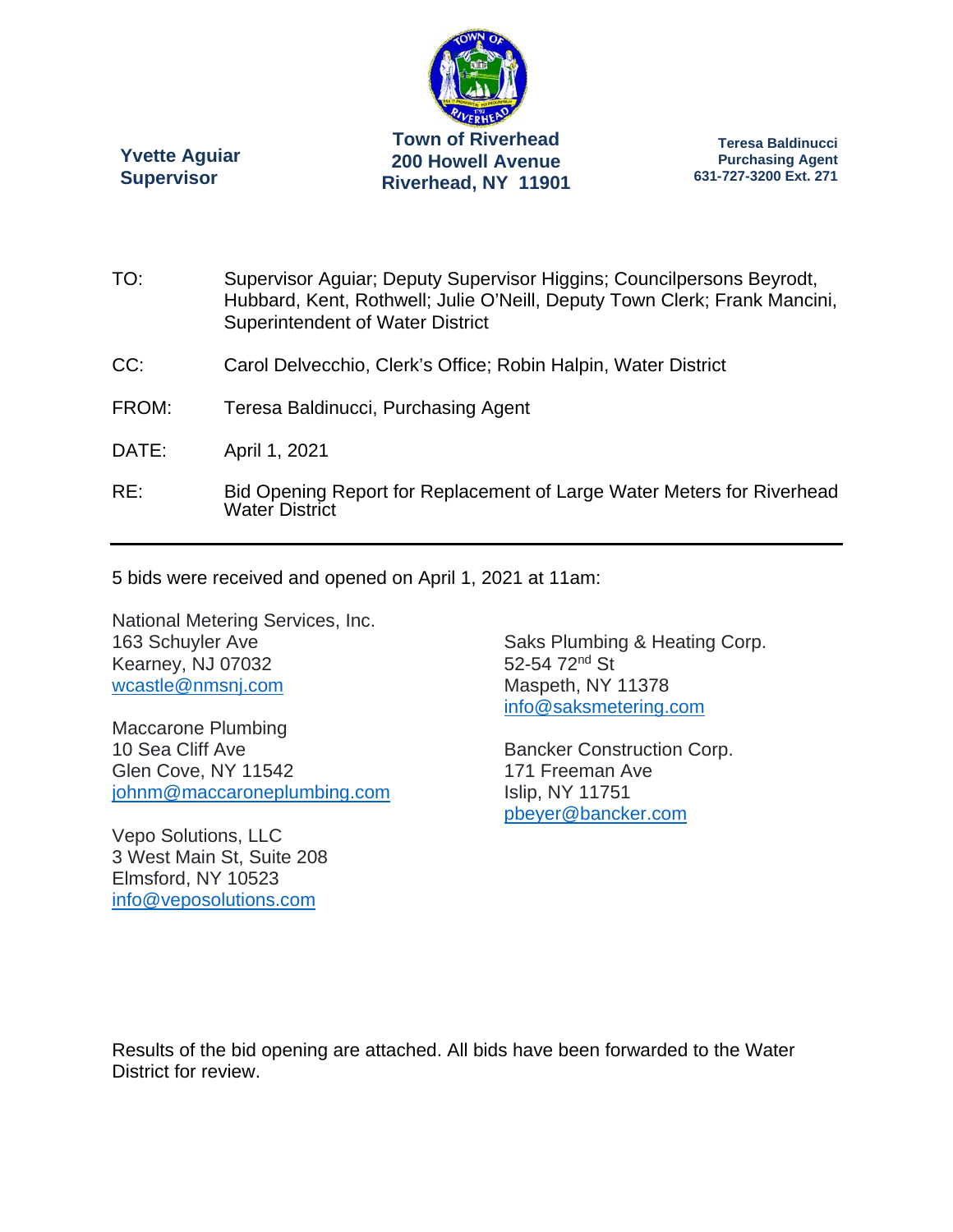

**Yvette Aguiar Supervisor** 

**Teresa Baldinucci Purchasing Agent 631-727-3200 Ext. 271** 

- TO: Supervisor Aguiar; Deputy Supervisor Higgins; Councilpersons Beyrodt, Hubbard, Kent, Rothwell; Julie O'Neill, Deputy Town Clerk; Frank Mancini, Superintendent of Water District
- CC: Carol Delvecchio, Clerk's Office; Robin Halpin, Water District
- FROM: Teresa Baldinucci, Purchasing Agent
- DATE: April 1, 2021
- RE: Bid Opening Report for Replacement of Large Water Meters for Riverhead Water District

5 bids were received and opened on April 1, 2021 at 11am:

National Metering Services, Inc. 163 Schuyler Ave Kearney, NJ 07032 wcastle@nmsnj.com

Maccarone Plumbing 10 Sea Cliff Ave Glen Cove, NY 11542 johnm@maccaroneplumbing.com

Vepo Solutions, LLC 3 West Main St, Suite 208 Elmsford, NY 10523 info@veposolutions.com

Saks Plumbing & Heating Corp. 52-54 72<sup>nd</sup> St Maspeth, NY 11378 info@saksmetering.com

Bancker Construction Corp. 171 Freeman Ave Islip, NY 11751 pbeyer@bancker.com

Results of the bid opening are attached. All bids have been forwarded to the Water District for review.